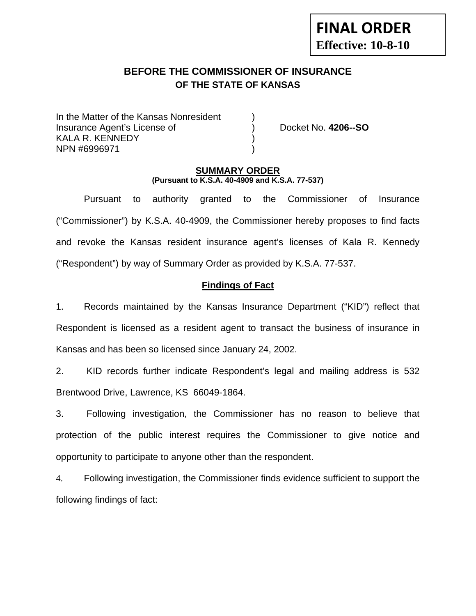# **FINAL ORDER Effective: 10-8-10**

## **BEFORE THE COMMISSIONER OF INSURANCE OF THE STATE OF KANSAS**

In the Matter of the Kansas Nonresident Insurance Agent's License of ) Docket No. **4206--SO** KALA R. KENNEDY NPN #6996971 )

#### **SUMMARY ORDER (Pursuant to K.S.A. 40-4909 and K.S.A. 77-537)**

 Pursuant to authority granted to the Commissioner of Insurance ("Commissioner") by K.S.A. 40-4909, the Commissioner hereby proposes to find facts and revoke the Kansas resident insurance agent's licenses of Kala R. Kennedy ("Respondent") by way of Summary Order as provided by K.S.A. 77-537.

## **Findings of Fact**

1. Records maintained by the Kansas Insurance Department ("KID") reflect that Respondent is licensed as a resident agent to transact the business of insurance in Kansas and has been so licensed since January 24, 2002.

2. KID records further indicate Respondent's legal and mailing address is 532 Brentwood Drive, Lawrence, KS 66049-1864.

3. Following investigation, the Commissioner has no reason to believe that protection of the public interest requires the Commissioner to give notice and opportunity to participate to anyone other than the respondent.

4. Following investigation, the Commissioner finds evidence sufficient to support the following findings of fact: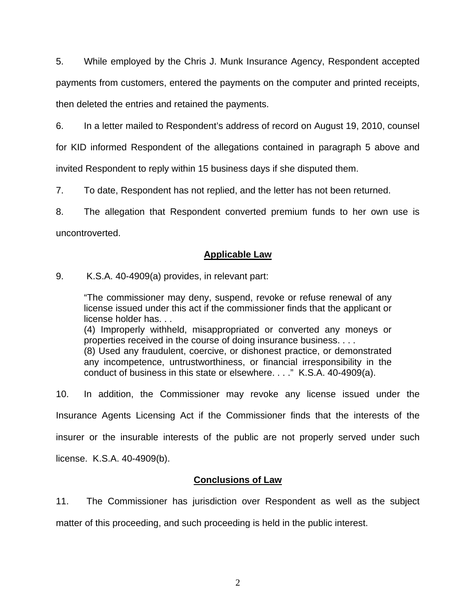5. While employed by the Chris J. Munk Insurance Agency, Respondent accepted payments from customers, entered the payments on the computer and printed receipts, then deleted the entries and retained the payments.

6. In a letter mailed to Respondent's address of record on August 19, 2010, counsel

for KID informed Respondent of the allegations contained in paragraph 5 above and

invited Respondent to reply within 15 business days if she disputed them.

7. To date, Respondent has not replied, and the letter has not been returned.

8. The allegation that Respondent converted premium funds to her own use is uncontroverted.

#### **Applicable Law**

9. K.S.A. 40-4909(a) provides, in relevant part:

"The commissioner may deny, suspend, revoke or refuse renewal of any license issued under this act if the commissioner finds that the applicant or license holder has. . .

(4) Improperly withheld, misappropriated or converted any moneys or properties received in the course of doing insurance business. . . .

(8) Used any fraudulent, coercive, or dishonest practice, or demonstrated any incompetence, untrustworthiness, or financial irresponsibility in the conduct of business in this state or elsewhere. . . ." K.S.A. 40-4909(a).

10. In addition, the Commissioner may revoke any license issued under the Insurance Agents Licensing Act if the Commissioner finds that the interests of the insurer or the insurable interests of the public are not properly served under such

license. K.S.A. 40-4909(b).

#### **Conclusions of Law**

11. The Commissioner has jurisdiction over Respondent as well as the subject matter of this proceeding, and such proceeding is held in the public interest.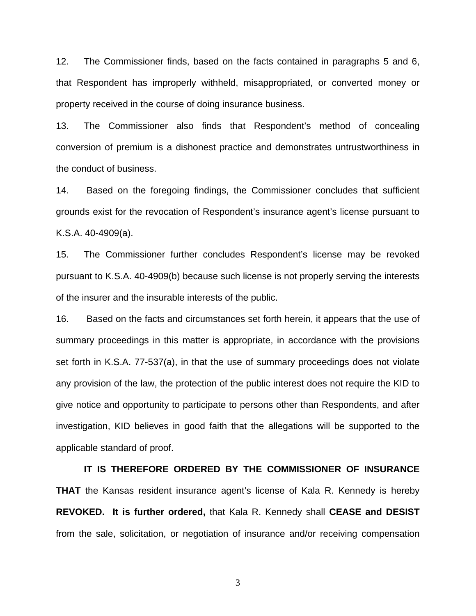12. The Commissioner finds, based on the facts contained in paragraphs 5 and 6, that Respondent has improperly withheld, misappropriated, or converted money or property received in the course of doing insurance business.

13. The Commissioner also finds that Respondent's method of concealing conversion of premium is a dishonest practice and demonstrates untrustworthiness in the conduct of business.

14. Based on the foregoing findings, the Commissioner concludes that sufficient grounds exist for the revocation of Respondent's insurance agent's license pursuant to K.S.A. 40-4909(a).

15. The Commissioner further concludes Respondent's license may be revoked pursuant to K.S.A. 40-4909(b) because such license is not properly serving the interests of the insurer and the insurable interests of the public.

16. Based on the facts and circumstances set forth herein, it appears that the use of summary proceedings in this matter is appropriate, in accordance with the provisions set forth in K.S.A. 77-537(a), in that the use of summary proceedings does not violate any provision of the law, the protection of the public interest does not require the KID to give notice and opportunity to participate to persons other than Respondents, and after investigation, KID believes in good faith that the allegations will be supported to the applicable standard of proof.

 **IT IS THEREFORE ORDERED BY THE COMMISSIONER OF INSURANCE THAT** the Kansas resident insurance agent's license of Kala R. Kennedy is hereby **REVOKED. It is further ordered,** that Kala R. Kennedy shall **CEASE and DESIST** from the sale, solicitation, or negotiation of insurance and/or receiving compensation

3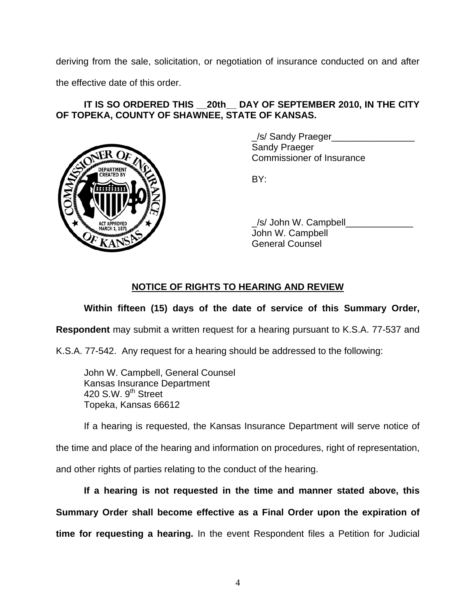deriving from the sale, solicitation, or negotiation of insurance conducted on and after

the effective date of this order.

#### IT IS SO ORDERED THIS 20th DAY OF SEPTEMBER 2010, IN THE CITY **OF TOPEKA, COUNTY OF SHAWNEE, STATE OF KANSAS.**



 \_/s/ Sandy Praeger\_\_\_\_\_\_\_\_\_\_\_\_\_\_\_\_ Sandy Praeger Commissioner of Insurance

/s/ John W. Campbell John W. Campbell General Counsel

## **NOTICE OF RIGHTS TO HEARING AND REVIEW**

#### **Within fifteen (15) days of the date of service of this Summary Order,**

**Respondent** may submit a written request for a hearing pursuant to K.S.A. 77-537 and

K.S.A. 77-542. Any request for a hearing should be addressed to the following:

 John W. Campbell, General Counsel Kansas Insurance Department 420 S.W.  $9<sup>th</sup>$  Street Topeka, Kansas 66612

If a hearing is requested, the Kansas Insurance Department will serve notice of

the time and place of the hearing and information on procedures, right of representation,

and other rights of parties relating to the conduct of the hearing.

**If a hearing is not requested in the time and manner stated above, this Summary Order shall become effective as a Final Order upon the expiration of time for requesting a hearing.** In the event Respondent files a Petition for Judicial